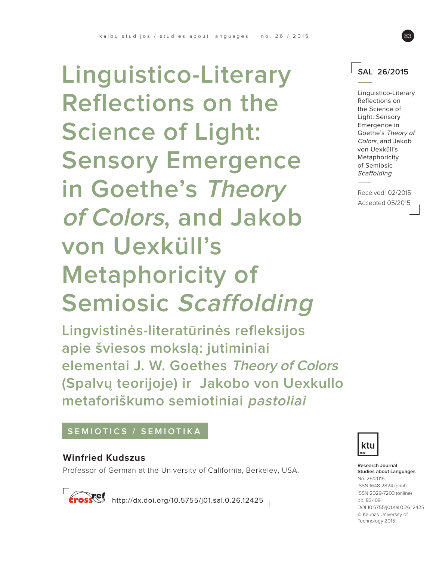**Linguistico-Literary Reflections on the Science of Light: Sensory Emergence in Goethe's Theory of Colors, and Jakob von Uexküll's Metaphoricity of Semiosic Scaffolding**

**Lingvistinės-literatūrinės refleksijos apie šviesos mokslą: jutiminiai elementai J. W. Goethes Theory of Colors (Spalvų teorijoje) ir Jakobo von Uexkullo metaforiškumo semiotiniai pastoliai** 

# **SEMIOTICS / SEMIOTIKA**

# **Winfried Kudszus**

Professor of German at the University of California, Berkeley, USA.

http://dx.doi.org/10.5755/j01.sal.0.26.12425



**Research Journal Studies about Languages** No. 26/2015 ISSN 1648-2824 (print) ISSN 2029-7203 (online) pp. 83-109 DOI 10.5755/j01.sal.0.26.12425 © Kaunas University of Technology 2015



Linguistico-Literary Reflections on the Science of Light: Sensory Emergence in Goethe's Theory of Colors, and Jakob von Uexküll's Metaphoricity of Semiosic **Scaffolding** 

Received 02/2015 Accepted 05/2015

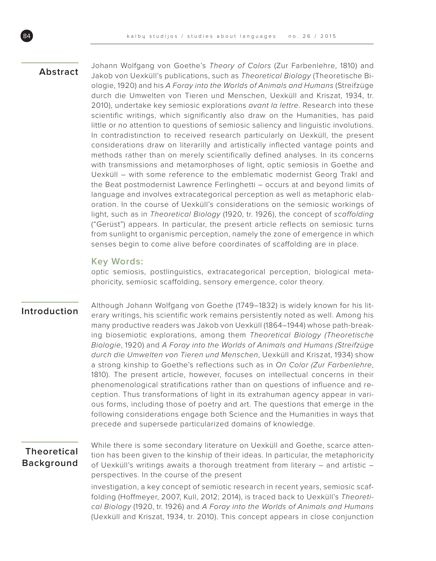## **Abstract**

Johann Wolfgang von Goethe's Theory of Colors (Zur Farbenlehre, 1810) and Jakob von Uexküll's publications, such as Theoretical Biology (Theoretische Biologie, 1920) and his A Foray into the Worlds of Animals and Humans (Streifzüge durch die Umwelten von Tieren und Menschen, Uexküll and Kriszat, 1934, tr. 2010), undertake key semiosic explorations avant la lettre. Research into these scientific writings, which significantly also draw on the Humanities, has paid little or no attention to questions of semiosic saliency and linguistic involutions. In contradistinction to received research particularly on Uexküll, the present considerations draw on literarilly and artistically inflected vantage points and methods rather than on merely scientifically defined analyses. In its concerns with transmissions and metamorphoses of light, optic semiosis in Goethe and Uexküll – with some reference to the emblematic modernist Georg Trakl and the Beat postmodernist Lawrence Ferlinghetti – occurs at and beyond limits of language and involves extracategorical perception as well as metaphoric elaboration. In the course of Uexküll's considerations on the semiosic workings of light, such as in Theoretical Biology (1920, tr. 1926), the concept of scaffolding ("Gerüst") appears. In particular, the present article reflects on semiosic turns from sunlight to organismic perception, namely the zone of emergence in which senses begin to come alive before coordinates of scaffolding are in place.

## **Key Words:**

optic semiosis, postlinguistics, extracategorical perception, biological metaphoricity, semiosic scaffolding, sensory emergence, color theory.

## **Introduction**

Although Johann Wolfgang von Goethe (1749–1832) is widely known for his literary writings, his scientific work remains persistently noted as well. Among his many productive readers was Jakob von Uexküll (1864–1944) whose path-breaking biosemiotic explorations, among them Theoretical Biology (Theoretische Biologie, 1920) and A Foray into the Worlds of Animals and Humans (Streifzüge durch die Umwelten von Tieren und Menschen, Uexküll and Kriszat, 1934) show a strong kinship to Goethe's reflections such as in On Color (Zur Farbenlehre, 1810). The present article, however, focuses on intellectual concerns in their phenomenological stratifications rather than on questions of influence and reception. Thus transformations of light in its extrahuman agency appear in various forms, including those of poetry and art. The questions that emerge in the following considerations engage both Science and the Humanities in ways that precede and supersede particularized domains of knowledge.

# **Theoretical Background**

While there is some secondary literature on Uexküll and Goethe, scarce attention has been given to the kinship of their ideas. In particular, the metaphoricity of Uexküll's writings awaits a thorough treatment from literary – and artistic – perspectives. In the course of the present

investigation, a key concept of semiotic research in recent years, semiosic scaffolding (Hoffmeyer, 2007, Kull, 2012; 2014), is traced back to Uexküll's Theoretical Biology (1920, tr. 1926) and A Foray into the Worlds of Animals and Humans (Uexküll and Kriszat, 1934, tr. 2010). This concept appears in close conjunction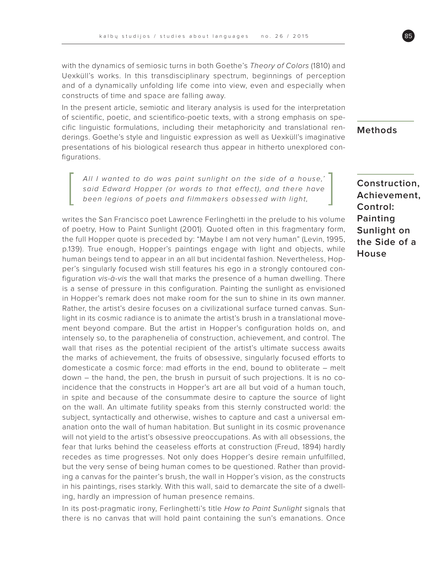with the dynamics of semiosic turns in both Goethe's Theory of Colors (1810) and Uexküll's works. In this transdisciplinary spectrum, beginnings of perception and of a dynamically unfolding life come into view, even and especially when constructs of time and space are falling away.

In the present article, semiotic and literary analysis is used for the interpretation of scientific, poetic, and scientifico-poetic texts, with a strong emphasis on specific linguistic formulations, including their metaphoricity and translational renderings. Goethe's style and linguistic expression as well as Uexküll's imaginative presentations of his biological research thus appear in hitherto unexplored configurations.

All I wanted to do was paint sunlight on the side of a house,' said Edward Hopper (or words to that effect), and there have been legions of poets and filmmakers obsessed with light,

writes the San Francisco poet Lawrence Ferlinghetti in the prelude to his volume of poetry, How to Paint Sunlight (2001). Quoted often in this fragmentary form, the full Hopper quote is preceded by: "Maybe I am not very human" (Levin, 1995, p.139). True enough, Hopper's paintings engage with light and objects, while human beings tend to appear in an all but incidental fashion. Nevertheless, Hopper's singularly focused wish still features his ego in a strongly contoured configuration vis-à-vis the wall that marks the presence of a human dwelling. There is a sense of pressure in this configuration. Painting the sunlight as envisioned in Hopper's remark does not make room for the sun to shine in its own manner. Rather, the artist's desire focuses on a civilizational surface turned canvas. Sunlight in its cosmic radiance is to animate the artist's brush in a translational movement beyond compare. But the artist in Hopper's configuration holds on, and intensely so, to the paraphenelia of construction, achievement, and control. The wall that rises as the potential recipient of the artist's ultimate success awaits the marks of achievement, the fruits of obsessive, singularly focused efforts to domesticate a cosmic force: mad efforts in the end, bound to obliterate – melt down – the hand, the pen, the brush in pursuit of such projections. It is no coincidence that the constructs in Hopper's art are all but void of a human touch, in spite and because of the consummate desire to capture the source of light on the wall. An ultimate futility speaks from this sternly constructed world: the subject, syntactically and otherwise, wishes to capture and cast a universal emanation onto the wall of human habitation. But sunlight in its cosmic provenance will not yield to the artist's obsessive preoccupations. As with all obsessions, the fear that lurks behind the ceaseless efforts at construction (Freud, 1894) hardly recedes as time progresses. Not only does Hopper's desire remain unfulfilled, but the very sense of being human comes to be questioned. Rather than providing a canvas for the painter's brush, the wall in Hopper's vision, as the constructs in his paintings, rises starkly. With this wall, said to demarcate the site of a dwelling, hardly an impression of human presence remains.

In its post-pragmatic irony, Ferlinghetti's title How to Paint Sunlight signals that there is no canvas that will hold paint containing the sun's emanations. Once

**Methods**

**Construction, Achievement, Control: Painting Sunlight on the Side of a House**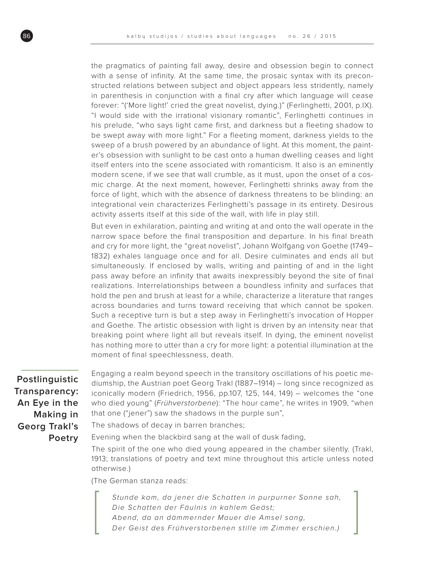the pragmatics of painting fall away, desire and obsession begin to connect with a sense of infinity. At the same time, the prosaic syntax with its preconstructed relations between subject and object appears less stridently, namely in parenthesis in conjunction with a final cry after which language will cease forever: "('More light!' cried the great novelist, dying.)" (Ferlinghetti, 2001, p.IX). "I would side with the irrational visionary romantic", Ferlinghetti continues in his prelude, "who says light came first, and darkness but a fleeting shadow to be swept away with more light." For a fleeting moment, darkness yields to the sweep of a brush powered by an abundance of light. At this moment, the painter's obsession with sunlight to be cast onto a human dwelling ceases and light itself enters into the scene associated with romanticism. It also is an eminently modern scene, if we see that wall crumble, as it must, upon the onset of a cosmic charge. At the next moment, however, Ferlinghetti shrinks away from the force of light, which with the absence of darkness threatens to be blinding: an integrational vein characterizes Ferlinghetti's passage in its entirety. Desirous activity asserts itself at this side of the wall, with life in play still.

But even in exhilaration, painting and writing at and onto the wall operate in the narrow space before the final transposition and departure. In his final breath and cry for more light, the "great novelist", Johann Wolfgang von Goethe (1749– 1832) exhales language once and for all. Desire culminates and ends all but simultaneously. If enclosed by walls, writing and painting of and in the light pass away before an infinity that awaits inexpressibly beyond the site of final realizations. Interrelationships between a boundless infinity and surfaces that hold the pen and brush at least for a while, characterize a literature that ranges across boundaries and turns toward receiving that which cannot be spoken. Such a receptive turn is but a step away in Ferlinghetti's invocation of Hopper and Goethe. The artistic obsession with light is driven by an intensity near that breaking point where light all but reveals itself. In dying, the eminent novelist has nothing more to utter than a cry for more light: a potential illumination at the moment of final speechlessness, death.

**Postlinguistic Transparency: An Eye in the Making in Georg Trakl's Poetry**

Engaging a realm beyond speech in the transitory oscillations of his poetic mediumship, the Austrian poet Georg Trakl (1887–1914) – long since recognized as iconically modern (Friedrich, 1956, pp.107, 125, 144, 149) – welcomes the "one who died young" (Frühverstorbene): "The hour came", he writes in 1909, "when that one ("jener") saw the shadows in the purple sun",

The shadows of decay in barren branches;

Evening when the blackbird sang at the wall of dusk fading,

The spirit of the one who died young appeared in the chamber silently. (Trakl, 1913; translations of poetry and text mine throughout this article unless noted otherwise.)

(The German stanza reads:

Stunde kam, da jener die Schatten in purpurner Sonne sah, Die Schatten der Fäulnis in kahlem Geäst; Abend, da an dämmernder Mauer die Amsel sang, Der Geist des Frühverstorbenen stille im Zimmer erschien.)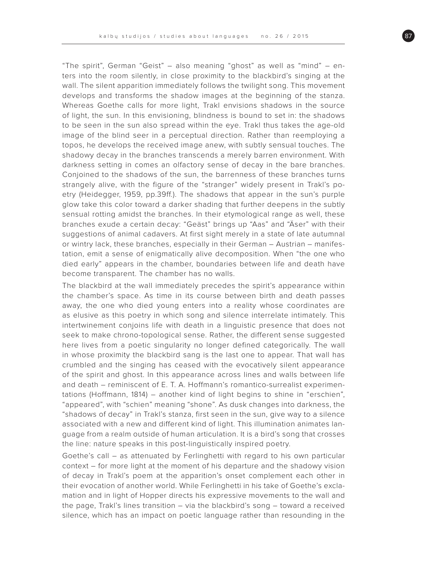"The spirit", German "Geist" – also meaning "ghost" as well as "mind" – enters into the room silently, in close proximity to the blackbird's singing at the wall. The silent apparition immediately follows the twilight song. This movement develops and transforms the shadow images at the beginning of the stanza. Whereas Goethe calls for more light, Trakl envisions shadows in the source of light, the sun. In this envisioning, blindness is bound to set in: the shadows to be seen in the sun also spread within the eye. Trakl thus takes the age-old image of the blind seer in a perceptual direction. Rather than reemploying a topos, he develops the received image anew, with subtly sensual touches. The shadowy decay in the branches transcends a merely barren environment. With darkness setting in comes an olfactory sense of decay in the bare branches. Conjoined to the shadows of the sun, the barrenness of these branches turns strangely alive, with the figure of the "stranger" widely present in Trakl's poetry (Heidegger, 1959, pp.39ff.). The shadows that appear in the sun's purple glow take this color toward a darker shading that further deepens in the subtly sensual rotting amidst the branches. In their etymological range as well, these branches exude a certain decay: "Geäst" brings up "Aas" and "Äser" with their suggestions of animal cadavers. At first sight merely in a state of late autumnal or wintry lack, these branches, especially in their German – Austrian – manifestation, emit a sense of enigmatically alive decomposition. When "the one who died early" appears in the chamber, boundaries between life and death have become transparent. The chamber has no walls.

The blackbird at the wall immediately precedes the spirit's appearance within the chamber's space. As time in its course between birth and death passes away, the one who died young enters into a reality whose coordinates are as elusive as this poetry in which song and silence interrelate intimately. This intertwinement conjoins life with death in a linguistic presence that does not seek to make chrono-topological sense. Rather, the different sense suggested here lives from a poetic singularity no longer defined categorically. The wall in whose proximity the blackbird sang is the last one to appear. That wall has crumbled and the singing has ceased with the evocatively silent appearance of the spirit and ghost. In this appearance across lines and walls between life and death – reminiscent of E. T. A. Hoffmann's romantico-surrealist experimentations (Hoffmann, 1814) – another kind of light begins to shine in "erschien", "appeared", with "schien" meaning "shone". As dusk changes into darkness, the "shadows of decay" in Trakl's stanza, first seen in the sun, give way to a silence associated with a new and different kind of light. This illumination animates language from a realm outside of human articulation. It is a bird's song that crosses the line: nature speaks in this post-linguistically inspired poetry.

Goethe's call – as attenuated by Ferlinghetti with regard to his own particular context – for more light at the moment of his departure and the shadowy vision of decay in Trakl's poem at the apparition's onset complement each other in their evocation of another world. While Ferlinghetti in his take of Goethe's exclamation and in light of Hopper directs his expressive movements to the wall and the page, Trakl's lines transition – via the blackbird's song – toward a received silence, which has an impact on poetic language rather than resounding in the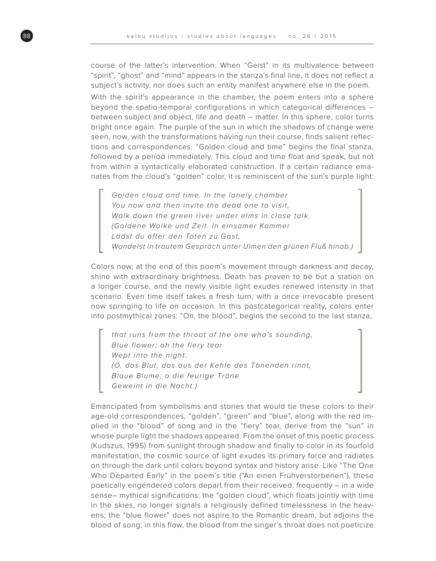course of the latter's intervention. When "Geist" in its multivalence between "spirit", "ghost" and "mind" appears in the stanza's final line, it does not reflect a subject's activity, nor does such an entity manifest anywhere else in the poem.

With the spirit's appearance in the chamber, the poem enters into a sphere beyond the spatio-temporal configurations in which categorical differences – between subject and object, life and death – matter. In this sphere, color turns bright once again. The purple of the sun in which the shadows of change were seen, now, with the transformations having run their course, finds salient reflections and correspondences. "Golden cloud and time" begins the final stanza, followed by a period immediately. This cloud and time float and speak, but not from within a syntactically elaborated construction. If a certain radiance emanates from the cloud's "golden" color, it is reminiscent of the sun's purple light:

Golden cloud and time. In the lonely chamber You now and then invite the dead one to visit, Walk down the green river under elms in close talk. (Goldene Wolke und Zeit. In einsamer Kammer Lädst du öfter den Toten zu Gast, Wandelst in trautem Gespräch unter Ulmen den grünen Fluß hinab.)

Colors now, at the end of this poem's movement through darkness and decay, shine with extraordinary brightness. Death has proven to be but a station on a longer course, and the newly visible light exudes renewed intensity in that scenario. Even time itself takes a fresh turn, with a once irrevocable present now springing to life on occasion. In this postcategorical reality, colors enter into postmythical zones: "Oh, the blood", begins the second to the last stanza,

that runs from the throat of the one who's sounding, Blue flower; oh the fiery tear Wept into the night. (O, das Blut, das aus der Kehle des Tönenden rinnt, Blaue Blume; o die feurige Träne Geweint in die Nacht.)

Emancipated from symbolisms and stories that would tie these colors to their age-old correspondences, "golden", "green" and "blue", along with the red implied in the "blood" of song and in the "fiery" tear, derive from the "sun" in whose purple light the shadows appeared. From the onset of this poetic process (Kudszus, 1995) from sunlight through shadow and finally to color in its fourfold manifestation, the cosmic source of light exudes its primary force and radiates on through the dark until colors beyond syntax and history arise. Like "The One Who Departed Early" in the poem's title ("An einen Frühverstorbenen"), these poetically engendered colors depart from their received, frequently – in a wide sense– mythical significations: the "golden cloud", which floats jointly with time in the skies, no longer signals a religiously defined timelessness in the heavens; the "blue flower" does not aspire to the Romantic dream, but adjoins the blood of song; in this flow, the blood from the singer's throat does not poeticize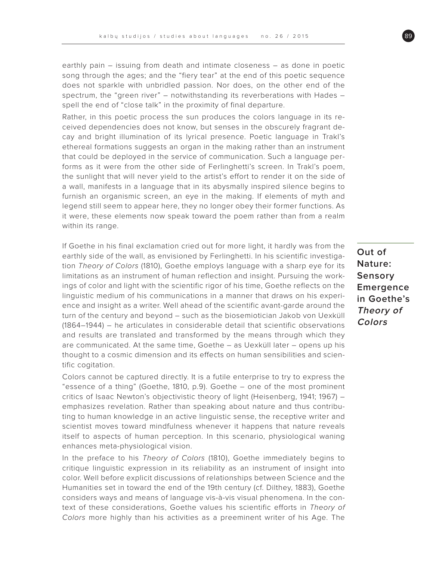earthly pain – issuing from death and intimate closeness – as done in poetic song through the ages; and the "fiery tear" at the end of this poetic sequence does not sparkle with unbridled passion. Nor does, on the other end of the spectrum, the "green river" – notwithstanding its reverberations with Hades – spell the end of "close talk" in the proximity of final departure.

Rather, in this poetic process the sun produces the colors language in its received dependencies does not know, but senses in the obscurely fragrant decay and bright illumination of its lyrical presence. Poetic language in Trakl's ethereal formations suggests an organ in the making rather than an instrument that could be deployed in the service of communication. Such a language performs as it were from the other side of Ferlinghetti's screen. In Trakl's poem, the sunlight that will never yield to the artist's effort to render it on the side of a wall, manifests in a language that in its abysmally inspired silence begins to furnish an organismic screen, an eye in the making. If elements of myth and legend still seem to appear here, they no longer obey their former functions. As it were, these elements now speak toward the poem rather than from a realm within its range.

If Goethe in his final exclamation cried out for more light, it hardly was from the earthly side of the wall, as envisioned by Ferlinghetti. In his scientific investigation Theory of Colors (1810), Goethe employs language with a sharp eye for its limitations as an instrument of human reflection and insight. Pursuing the workings of color and light with the scientific rigor of his time, Goethe reflects on the linguistic medium of his communications in a manner that draws on his experience and insight as a writer. Well ahead of the scientific avant-garde around the turn of the century and beyond – such as the biosemiotician Jakob von Uexküll (1864–1944) – he articulates in considerable detail that scientific observations and results are translated and transformed by the means through which they are communicated. At the same time, Goethe – as Uexküll later – opens up his thought to a cosmic dimension and its effects on human sensibilities and scientific cogitation.

Colors cannot be captured directly. It is a futile enterprise to try to express the "essence of a thing" (Goethe, 1810, p.9). Goethe – one of the most prominent critics of Isaac Newton's objectivistic theory of light (Heisenberg, 1941; 1967) – emphasizes revelation. Rather than speaking about nature and thus contributing to human knowledge in an active linguistic sense, the receptive writer and scientist moves toward mindfulness whenever it happens that nature reveals itself to aspects of human perception. In this scenario, physiological waning enhances meta-physiological vision.

In the preface to his Theory of Colors (1810), Goethe immediately begins to critique linguistic expression in its reliability as an instrument of insight into color. Well before explicit discussions of relationships between Science and the Humanities set in toward the end of the 19th century (cf. Dilthey, 1883), Goethe considers ways and means of language vis-à-vis visual phenomena. In the context of these considerations, Goethe values his scientific efforts in Theory of Colors more highly than his activities as a preeminent writer of his Age. The

**Out of Nature: Sensory Emergence in Goethe's Theory of Colors**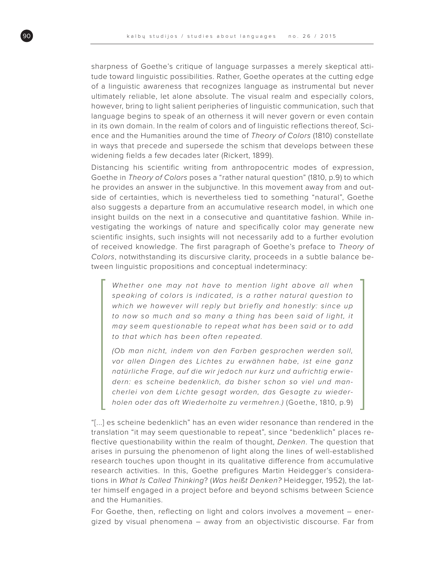sharpness of Goethe's critique of language surpasses a merely skeptical attitude toward linguistic possibilities. Rather, Goethe operates at the cutting edge of a linguistic awareness that recognizes language as instrumental but never ultimately reliable, let alone absolute. The visual realm and especially colors, however, bring to light salient peripheries of linguistic communication, such that language begins to speak of an otherness it will never govern or even contain in its own domain. In the realm of colors and of linguistic reflections thereof, Science and the Humanities around the time of Theory of Colors (1810) constellate in ways that precede and supersede the schism that develops between these widening fields a few decades later (Rickert, 1899).

Distancing his scientific writing from anthropocentric modes of expression, Goethe in Theory of Colors poses a "rather natural question" (1810, p.9) to which he provides an answer in the subjunctive. In this movement away from and outside of certainties, which is nevertheless tied to something "natural", Goethe also suggests a departure from an accumulative research model, in which one insight builds on the next in a consecutive and quantitative fashion. While investigating the workings of nature and specifically color may generate new scientific insights, such insights will not necessarily add to a further evolution of received knowledge. The first paragraph of Goethe's preface to Theory of Colors, notwithstanding its discursive clarity, proceeds in a subtle balance between linguistic propositions and conceptual indeterminacy:

Whether one may not have to mention light above all when speaking of colors is indicated, is a rather natural question to which we however will reply but briefly and honestly: since up to now so much and so many a thing has been said of light, it may seem questionable to repeat what has been said or to add to that which has been often repeated.

(Ob man nicht, indem von den Farben gesprochen werden soll, vor allen Dingen des Lichtes zu erwähnen habe, ist eine ganz natürliche Frage, auf die wir jedoch nur kurz und aufrichtig erwiedern: es scheine bedenklich, da bisher schon so viel und mancherlei von dem Lichte gesagt worden, das Gesagte zu wiederholen oder das oft Wiederholte zu vermehren.) (Goethe, 1810, p.9)

"[...] es scheine bedenklich" has an even wider resonance than rendered in the translation "it may seem questionable to repeat", since "bedenklich" places reflective questionability within the realm of thought, Denken. The question that arises in pursuing the phenomenon of light along the lines of well-established research touches upon thought in its qualitative difference from accumulative research activities. In this, Goethe prefigures Martin Heidegger's considerations in What Is Called Thinking? (Was heißt Denken? Heidegger, 1952), the latter himself engaged in a project before and beyond schisms between Science and the Humanities.

For Goethe, then, reflecting on light and colors involves a movement – energized by visual phenomena – away from an objectivistic discourse. Far from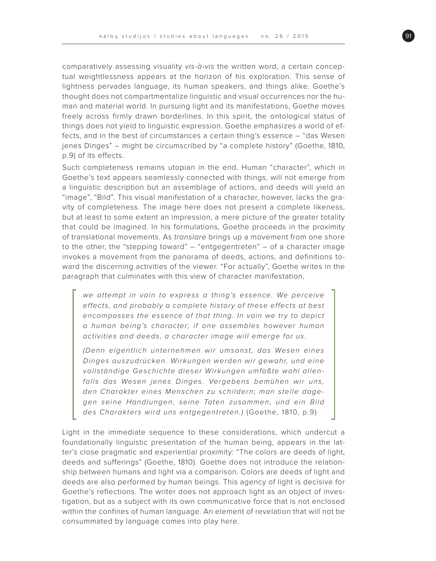comparatively assessing visuality vis-à-vis the written word, a certain conceptual weightlessness appears at the horizon of his exploration. This sense of lightness pervades language, its human speakers, and things alike. Goethe's thought does not compartmentalize linguistic and visual occurrences nor the human and material world. In pursuing light and its manifestations, Goethe moves freely across firmly drawn borderlines. In this spirit, the ontological status of things does not yield to linguistic expression. Goethe emphasizes a world of effects, and in the best of circumstances a certain thing's essence – "das Wesen jenes Dinges" – might be circumscribed by "a complete history" (Goethe, 1810, p.9) of its effects.

Such completeness remains utopian in the end. Human "character", which in Goethe's text appears seamlessly connected with things, will not emerge from a linguistic description but an assemblage of actions, and deeds will yield an "image", "Bild". This visual manifestation of a character, however, lacks the gravity of completeness. The image here does not present a complete likeness, but at least to some extent an impression, a mere picture of the greater totality that could be imagined. In his formulations, Goethe proceeds in the proximity of translational movements. As translare brings up a movement from one shore to the other, the "stepping toward" – "entgegentreten" – of a character image invokes a movement from the panorama of deeds, actions, and definitions toward the discerning activities of the viewer. "For actually", Goethe writes in the paragraph that culminates with this view of character manifestation,

we attempt in vain to express a thing's essence. We perceive effects, and probably a complete history of these effects at best encompasses the essence of that thing. In vain we try to depict a human being's character; if one assembles however human activities and deeds, a character image will emerge for us.

(Denn eigentlich unternehmen wir umsonst, das Wesen eines Dinges auszudrücken. Wirkungen werden wir gewahr, und eine vollständige Geschichte dieser Wirkungen umfaßte wohl allenfalls das Wesen jenes Dinges. Vergebens bemühen wir uns, den Charakter eines Menschen zu schildern; man stelle dagegen seine Handlungen, seine Taten zusammen, und ein Bild des Charakters wird uns entgegentreten.) (Goethe, 1810, p.9)

Light in the immediate sequence to these considerations, which undercut a foundationally linguistic presentation of the human being, appears in the latter's close pragmatic and experiential proximity: "The colors are deeds of light, deeds and sufferings" (Goethe, 1810). Goethe does not introduce the relationship between humans and light via a comparison. Colors are deeds of light and deeds are also performed by human beings. This agency of light is decisive for Goethe's reflections. The writer does not approach light as an object of investigation, but as a subject with its own communicative force that is not enclosed within the confines of human language. An element of revelation that will not be consummated by language comes into play here.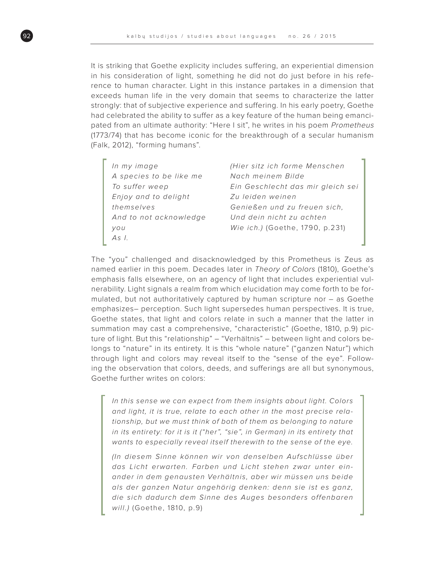It is striking that Goethe explicity includes suffering, an experiential dimension in his consideration of light, something he did not do just before in his reference to human character. Light in this instance partakes in a dimension that exceeds human life in the very domain that seems to characterize the latter strongly: that of subjective experience and suffering. In his early poetry, Goethe had celebrated the ability to suffer as a key feature of the human being emancipated from an ultimate authority: "Here I sit", he writes in his poem Prometheus (1773/74) that has become iconic for the breakthrough of a secular humanism (Falk, 2012), "forming humans".

In my image A species to be like me To suffer weep Enjoy and to delight themselves And to not acknowledge you As I.

(Hier sitz ich forme Menschen Nach meinem Bilde Ein Geschlecht das mir gleich sei Zu leiden weinen Genießen und zu freuen sich, Und dein nicht zu achten Wie ich.) (Goethe, 1790, p.231)

The "you" challenged and disacknowledged by this Prometheus is Zeus as named earlier in this poem. Decades later in Theory of Colors (1810), Goethe's emphasis falls elsewhere, on an agency of light that includes experiential vulnerability. Light signals a realm from which elucidation may come forth to be formulated, but not authoritatively captured by human scripture nor – as Goethe emphasizes– perception. Such light supersedes human perspectives. It is true, Goethe states, that light and colors relate in such a manner that the latter in summation may cast a comprehensive, "characteristic" (Goethe, 1810, p.9) picture of light. But this "relationship" – "Verhältnis" – between light and colors belongs to "nature" in its entirety. It is this "whole nature" ("ganzen Natur") which through light and colors may reveal itself to the "sense of the eye". Following the observation that colors, deeds, and sufferings are all but synonymous, Goethe further writes on colors:

In this sense we can expect from them insights about light. Colors and light, it is true, relate to each other in the most precise relationship, but we must think of both of them as belonging to nature in its entirety: for it is it ("her", "sie", in German) in its entirety that wants to especially reveal itself therewith to the sense of the eye.

(In diesem Sinne können wir von denselben Aufschlüsse über das Licht erwarten. Farben und Licht stehen zwar unter einander in dem genausten Verhältnis, aber wir müssen uns beide als der ganzen Natur angehörig denken: denn sie ist es ganz, die sich dadurch dem Sinne des Auges besonders offenbaren will.) (Goethe, 1810, p.9)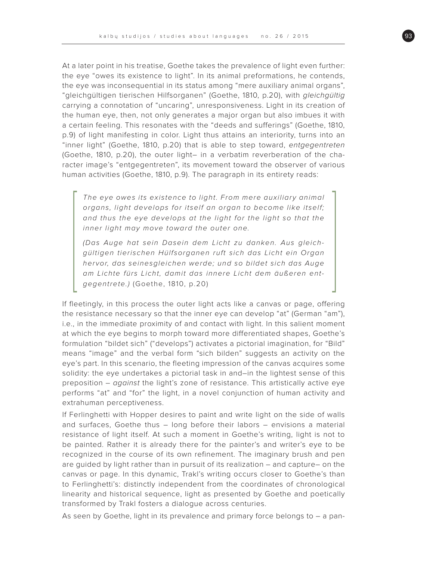At a later point in his treatise, Goethe takes the prevalence of light even further: the eye "owes its existence to light". In its animal preformations, he contends, the eye was inconsequential in its status among "mere auxiliary animal organs", "gleichgültigen tierischen Hilfsorganen" (Goethe, 1810, p.20), with gleichgültig carrying a connotation of "uncaring", unresponsiveness. Light in its creation of the human eye, then, not only generates a major organ but also imbues it with a certain feeling. This resonates with the "deeds and sufferings" (Goethe, 1810, p.9) of light manifesting in color. Light thus attains an interiority, turns into an "inner light" (Goethe, 1810, p.20) that is able to step toward, entgegentreten (Goethe, 1810, p.20), the outer light– in a verbatim reverberation of the character image's "entgegentreten", its movement toward the observer of various human activities (Goethe, 1810, p.9). The paragraph in its entirety reads:

The eye owes its existence to light. From mere auxiliary animal organs, light develops for itself an organ to become like itself; and thus the eye develops at the light for the light so that the inner light may move toward the outer one.

(Das Auge hat sein Dasein dem Licht zu danken. Aus gleichgültigen tierischen Hülfsorganen ruft sich das Licht ein Organ hervor, das seinesgleichen werde; und so bildet sich das Auge am Lichte fürs Licht, damit das innere Licht dem äußeren entgegentrete.) (Goethe, 1810, p.20)

If fleetingly, in this process the outer light acts like a canvas or page, offering the resistance necessary so that the inner eye can develop "at" (German "am"), i.e., in the immediate proximity of and contact with light. In this salient moment at which the eye begins to morph toward more differentiated shapes, Goethe's formulation "bildet sich" ("develops") activates a pictorial imagination, for "Bild" means "image" and the verbal form "sich bilden" suggests an activity on the eye's part. In this scenario, the fleeting impression of the canvas acquires some solidity: the eye undertakes a pictorial task in and–in the lightest sense of this preposition  $-$  *against* the light's zone of resistance. This artistically active eye performs "at" and "for" the light, in a novel conjunction of human activity and extrahuman perceptiveness.

If Ferlinghetti with Hopper desires to paint and write light on the side of walls and surfaces, Goethe thus – long before their labors – envisions a material resistance of light itself. At such a moment in Goethe's writing, light is not to be painted. Rather it is already there for the painter's and writer's eye to be recognized in the course of its own refinement. The imaginary brush and pen are guided by light rather than in pursuit of its realization – and capture– on the canvas or page. In this dynamic, Trakl's writing occurs closer to Goethe's than to Ferlinghetti's: distinctly independent from the coordinates of chronological linearity and historical sequence, light as presented by Goethe and poetically transformed by Trakl fosters a dialogue across centuries.

As seen by Goethe, light in its prevalence and primary force belongs to – a pan-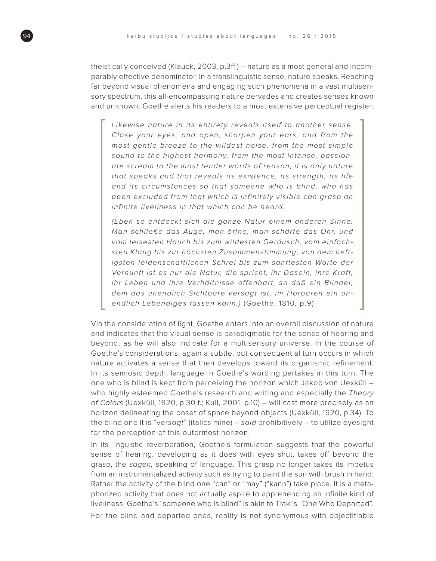theistically conceived (Klauck, 2003, p.3ff.) – nature as a most general and incomparably effective denominator. In a translinguistic sense, nature speaks. Reaching far beyond visual phenomena and engaging such phenomena in a vast multisensory spectrum, this all-encompassing nature pervades and creates senses known and unknown. Goethe alerts his readers to a most extensive perceptual register:

Likewise nature in its entirety reveals itself to another sense. Close your eyes, and open, sharpen your ears, and from the most gentle breeze to the wildest noise, from the most simple sound to the highest harmony, from the most intense, passionate scream to the most tender words of reason, it is only nature that speaks and that reveals its existence, its strength, its life and its circumstances so that someone who is blind, who has been excluded from that which is infinitely visible can grasp an infinite liveliness in that which can be heard.

(Eben so entdeckt sich die ganze Natur einem anderen Sinne. Man schließe das Auge, man öffne, man schärfe das Ohr, und vom leisesten Hauch bis zum wildesten Geräusch, vom einfachsten Klang bis zur höchsten Zusammenstimmung, von dem heftigsten leidenschaftlichen Schrei bis zum sanftesten Worte der Vernunft ist es nur die Natur, die spricht, ihr Dasein, ihre Kraft, ihr Leben und ihre Verhältnisse offenbart, so daß ein Blinder, dem das unendlich Sichtbare versagt ist, im Hörbaren ein unendlich Lebendiges fassen kann.) (Goethe, 1810, p.9)

Via the consideration of light, Goethe enters into an overall discussion of nature and indicates that the visual sense is paradigmatic for the sense of hearing and beyond, as he will also indicate for a multisensory universe. In the course of Goethe's considerations, again a subtle, but consequential turn occurs in which nature activates a sense that then develops toward its organismic refinement. In its semiosic depth, language in Goethe's wording partakes in this turn. The one who is blind is kept from perceiving the horizon which Jakob von Uexküll – who highly esteemed Goethe's research and writing and especially the Theory of Colors (Uexküll, 1920, p.30 f.; Kull, 2001, p.10) – will cast more precisely as an horizon delineating the onset of space beyond objects (Uexküll, 1920, p.34). To the blind one it is "versagt" (italics mine) – said prohibitively – to utilize eyesight for the perception of this outermost horizon.

In its linguistic reverberation, Goethe's formulation suggests that the powerful sense of hearing, developing as it does with eyes shut, takes off beyond the grasp, the sagen, speaking of language. This grasp no longer takes its impetus from an instrumentalized activity such as trying to paint the sun with brush in hand. Rather the activity of the blind one "can" or "may" ("kann") take place. It is a metaphorized activity that does not actually aspire to apprehending an infinite kind of liveliness. Goethe's "someone who is blind" is akin to Trakl's "One Who Departed". For the blind and departed ones, reality is not synonymous with objectifiable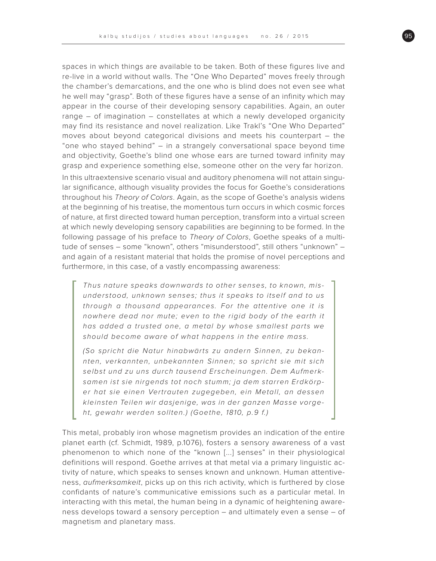spaces in which things are available to be taken. Both of these figures live and re-live in a world without walls. The "One Who Departed" moves freely through the chamber's demarcations, and the one who is blind does not even see what he well may "grasp". Both of these figures have a sense of an infinity which may appear in the course of their developing sensory capabilities. Again, an outer range – of imagination – constellates at which a newly developed organicity may find its resistance and novel realization. Like Trakl's "One Who Departed" moves about beyond categorical divisions and meets his counterpart – the "one who stayed behind" – in a strangely conversational space beyond time and objectivity, Goethe's blind one whose ears are turned toward infinity may grasp and experience something else, someone other on the very far horizon.

In this ultraextensive scenario visual and auditory phenomena will not attain singular significance, although visuality provides the focus for Goethe's considerations throughout his Theory of Colors. Again, as the scope of Goethe's analysis widens at the beginning of his treatise, the momentous turn occurs in which cosmic forces of nature, at first directed toward human perception, transform into a virtual screen at which newly developing sensory capabilities are beginning to be formed. In the following passage of his preface to Theory of Colors, Goethe speaks of a multitude of senses – some "known", others "misunderstood", still others "unknown" – and again of a resistant material that holds the promise of novel perceptions and furthermore, in this case, of a vastly encompassing awareness:

Thus nature speaks downwards to other senses, to known, misunderstood, unknown senses; thus it speaks to itself and to us through a thousand appearances. For the attentive one it is nowhere dead nor mute; even to the rigid body of the earth it has added a trusted one, a metal by whose smallest parts we should become aware of what happens in the entire mass.

(So spricht die Natur hinabwärts zu andern Sinnen, zu bekannten, verkannten, unbekannten Sinnen; so spricht sie mit sich selbst und zu uns durch tausend Erscheinungen. Dem Aufmerksamen ist sie nirgends tot noch stumm; ja dem starren Erdkörper hat sie einen Vertrauten zugegeben, ein Metall, an dessen kleinsten Teilen wir dasjenige, was in der ganzen Masse vorgeht, gewahr werden sollten.) (Goethe, 1810, p.9 f.)

This metal, probably iron whose magnetism provides an indication of the entire planet earth (cf. Schmidt, 1989, p.1076), fosters a sensory awareness of a vast phenomenon to which none of the "known [...] senses" in their physiological definitions will respond. Goethe arrives at that metal via a primary linguistic activity of nature, which speaks to senses known and unknown. Human attentiveness, aufmerksamkeit, picks up on this rich activity, which is furthered by close confidants of nature's communicative emissions such as a particular metal. In interacting with this metal, the human being in a dynamic of heightening awareness develops toward a sensory perception – and ultimately even a sense – of magnetism and planetary mass.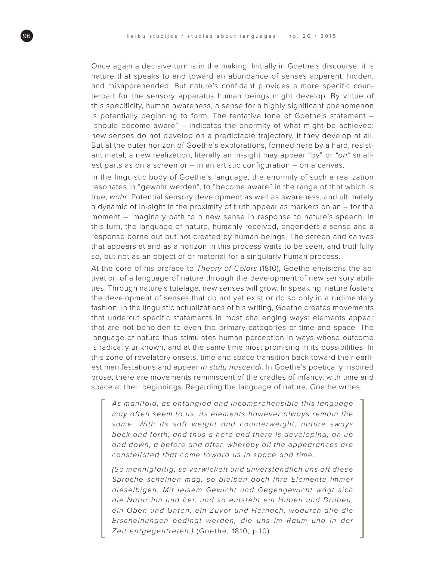Once again a decisive turn is in the making. Initially in Goethe's discourse, it is nature that speaks to and toward an abundance of senses apparent, hidden, and misapprehended. But nature's confidant provides a more specific counterpart for the sensory apparatus human beings might develop. By virtue of this specificity, human awareness, a sense for a highly significant phenomenon is potentially beginning to form. The tentative tone of Goethe's statement – "should become aware" – indicates the enormity of what might be achieved: new senses do not develop on a predictable trajectory, if they develop at all. But at the outer horizon of Goethe's explorations, formed here by a hard, resistant metal, a new realization, literally an in-sight may appear "by" or "on" smallest parts as on a screen or – in an artistic configuration – on a canvas.

In the linguistic body of Goethe's language, the enormity of such a realization resonates in "gewahr werden", to "become aware" in the range of that which is true, wahr. Potential sensory development as well as awareness, and ultimately a dynamic of in-sight in the proximity of truth appear as markers on an – for the moment – imaginary path to a new sense in response to nature's speech. In this turn, the language of nature, humanly received, engenders a sense and a response borne out but not created by human beings. The screen and canvas that appears at and as a horizon in this process waits to be seen, and truthfully so, but not as an object of or material for a singularly human process.

At the core of his preface to Theory of Colors (1810), Goethe envisions the activation of a language of nature through the development of new sensory abilities. Through nature's tutelage, new senses will grow. In speaking, nature fosters the development of senses that do not yet exist or do so only in a rudimentary fashion. In the linguistic actualizations of his writing, Goethe creates movements that undercut specific statements in most challenging ways: elements appear that are not beholden to even the primary categories of time and space. The language of nature thus stimulates human perception in ways whose outcome is radically unknown, and at the same time most promising in its possibilities. In this zone of revelatory onsets, time and space transition back toward their earliest manifestations and appear in statu nascendi. In Goethe's poetically inspired prose, there are movements reminiscent of the cradles of infancy, with time and space at their beginnings. Regarding the language of nature, Goethe writes:

As manifold, as entangled and incomprehensible this language may often seem to us, its elements however always remain the same. With its soft weight and counterweight, nature sways back and forth, and thus a here and there is developing, an up and down, a before and after, whereby all the appearances are constellated that come toward us in space and time.

(So mannigfaltig, so verwickelt und unverständlich uns oft diese Sprache scheinen mag, so bleiben doch ihre Elemente immer dieselbigen. Mit leisem Gewicht und Gegengewicht wägt sich die Natur hin und her, und so entsteht ein Hüben und Drüben, ein Oben und Unten, ein Zuvor und Hernach, wodurch alle die Erscheinungen bedingt werden, die uns im Raum und in der Zeit entgegentreten.) (Goethe, 1810, p.10)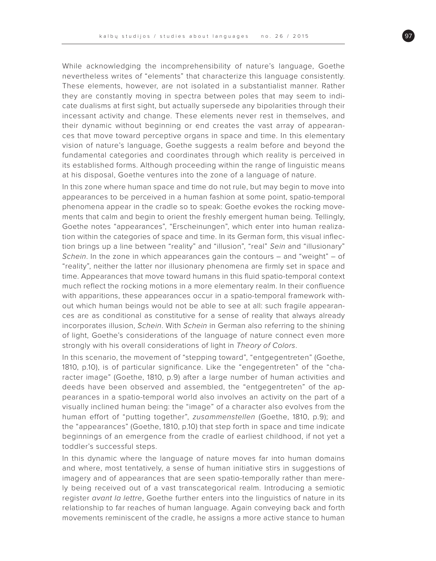While acknowledging the incomprehensibility of nature's language, Goethe nevertheless writes of "elements" that characterize this language consistently. These elements, however, are not isolated in a substantialist manner. Rather they are constantly moving in spectra between poles that may seem to indicate dualisms at first sight, but actually supersede any bipolarities through their incessant activity and change. These elements never rest in themselves, and their dynamic without beginning or end creates the vast array of appearances that move toward perceptive organs in space and time. In this elementary vision of nature's language, Goethe suggests a realm before and beyond the fundamental categories and coordinates through which reality is perceived in its established forms. Although proceeding within the range of linguistic means at his disposal, Goethe ventures into the zone of a language of nature.

In this zone where human space and time do not rule, but may begin to move into appearances to be perceived in a human fashion at some point, spatio-temporal phenomena appear in the cradle so to speak: Goethe evokes the rocking movements that calm and begin to orient the freshly emergent human being. Tellingly, Goethe notes "appearances", "Erscheinungen", which enter into human realization within the categories of space and time. In its German form, this visual inflection brings up a line between "reality" and "illusion", "real" Sein and "illusionary" Schein. In the zone in which appearances gain the contours – and "weight" – of "reality", neither the latter nor illusionary phenomena are firmly set in space and time. Appearances that move toward humans in this fluid spatio-temporal context much reflect the rocking motions in a more elementary realm. In their confluence with apparitions, these appearances occur in a spatio-temporal framework without which human beings would not be able to see at all: such fragile appearances are as conditional as constitutive for a sense of reality that always already incorporates illusion, Schein. With Schein in German also referring to the shining of light, Goethe's considerations of the language of nature connect even more strongly with his overall considerations of light in Theory of Colors.

In this scenario, the movement of "stepping toward", "entgegentreten" (Goethe, 1810, p.10), is of particular significance. Like the "engegentreten" of the "character image" (Goethe, 1810, p.9) after a large number of human activities and deeds have been observed and assembled, the "entgegentreten" of the appearances in a spatio-temporal world also involves an activity on the part of a visually inclined human being: the "image" of a character also evolves from the human effort of "putting together", zusammenstellen (Goethe, 1810, p.9); and the "appearances" (Goethe, 1810, p.10) that step forth in space and time indicate beginnings of an emergence from the cradle of earliest childhood, if not yet a toddler's successful steps.

In this dynamic where the language of nature moves far into human domains and where, most tentatively, a sense of human initiative stirs in suggestions of imagery and of appearances that are seen spatio-temporally rather than merely being received out of a vast transcategorical realm. Introducing a semiotic register avant la lettre, Goethe further enters into the linguistics of nature in its relationship to far reaches of human language. Again conveying back and forth movements reminiscent of the cradle, he assigns a more active stance to human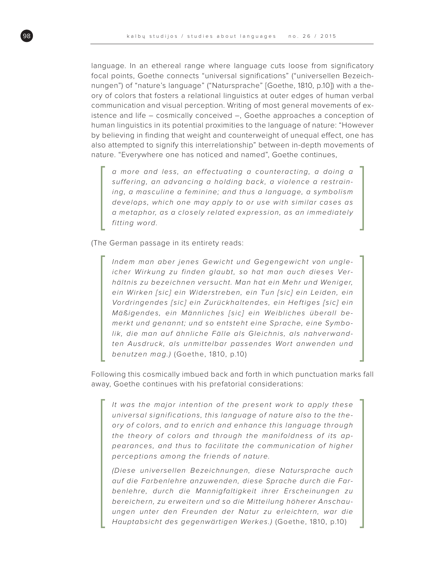language. In an ethereal range where language cuts loose from significatory focal points, Goethe connects "universal significations" ("universellen Bezeichnungen") of "nature's language" ("Natursprache" [Goethe, 1810, p.10]) with a theory of colors that fosters a relational linguistics at outer edges of human verbal communication and visual perception. Writing of most general movements of existence and life – cosmically conceived –, Goethe approaches a conception of human linguistics in its potential proximities to the language of nature: "However by believing in finding that weight and counterweight of unequal effect, one has also attempted to signify this interrelationship" between in-depth movements of nature. "Everywhere one has noticed and named", Goethe continues,

a more and less, an effectuating a counteracting, a doing a suffering, an advancing a holding back, a violence a restraining, a masculine a feminine; and thus a language, a symbolism develops, which one may apply to or use with similar cases as a metaphor, as a closely related expression, as an immediately fitting word.

(The German passage in its entirety reads:

Indem man aber jenes Gewicht und Gegengewicht von ungleicher Wirkung zu finden glaubt, so hat man auch dieses Verhältnis zu bezeichnen versucht. Man hat ein Mehr und Weniger, ein Wirken [sic] ein Widerstreben, ein Tun [sic] ein Leiden, ein Vordringendes [sic] ein Zurückhaltendes, ein Heftiges [sic] ein Mäßigendes, ein Männliches [sic] ein Weibliches überall bemerkt und genannt; und so entsteht eine Sprache, eine Symbolik, die man auf ähnliche Fälle als Gleichnis, als nahverwandten Ausdruck, als unmittelbar passendes Wort anwenden und benutzen mag.) (Goethe, 1810, p.10)

Following this cosmically imbued back and forth in which punctuation marks fall away, Goethe continues with his prefatorial considerations:

It was the major intention of the present work to apply these universal significations, this language of nature also to the theory of colors, and to enrich and enhance this language through the theory of colors and through the manifoldness of its appearances, and thus to facilitate the communication of higher perceptions among the friends of nature.

(Diese universellen Bezeichnungen, diese Natursprache auch auf die Farbenlehre anzuwenden, diese Sprache durch die Farbenlehre, durch die Mannigfaltigkeit ihrer Erscheinungen zu bereichern, zu erweitern und so die Mitteilung höherer Anschauungen unter den Freunden der Natur zu erleichtern, war die Hauptabsicht des gegenwärtigen Werkes.) (Goethe, 1810, p.10)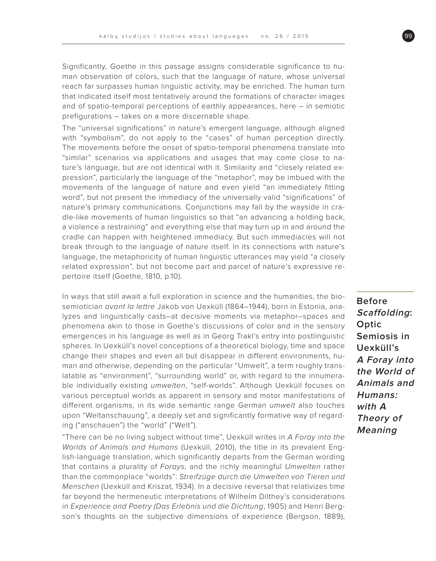Significantly, Goethe in this passage assigns considerable significance to human observation of colors, such that the language of nature, whose universal reach far surpasses human linguistic activity, may be enriched. The human turn that indicated itself most tentatively around the formations of character images and of spatio-temporal perceptions of earthly appearances, here – in semiotic prefigurations – takes on a more discernable shape.

The "universal significations" in nature's emergent language, although aligned with "symbolism", do not apply to the "cases" of human perception directly. The movements before the onset of spatio-temporal phenomena translate into "similar" scenarios via applications and usages that may come close to nature's language, but are not identical with it. Similarity and "closely related expression", particularly the language of the "metaphor", may be imbued with the movements of the language of nature and even yield "an immediately fitting word", but not present the immediacy of the universally valid "significations" of nature's primary communications. Conjunctions may fall by the wayside in cradle-like movements of human linguistics so that "an advancing a holding back, a violence a restraining" and everything else that may turn up in and around the cradle can happen with heightened immediacy. But such immediacies will not break through to the language of nature itself. In its connections with nature's language, the metaphoricity of human linguistic utterances may yield "a closely related expression", but not become part and parcel of nature's expressive repertoire itself (Goethe, 1810, p.10).

In ways that still await a full exploration in science and the humanities, the biosemiotician avant la lettre Jakob von Uexküll (1864–1944), born in Estonia, analyzes and linguistically casts–at decisive moments via metaphor–spaces and phenomena akin to those in Goethe's discussions of color and in the sensory emergences in his language as well as in Georg Trakl's entry into postlinguistic spheres. In Uexküll's novel conceptions of a theoretical biology, time and space change their shapes and even all but disappear in different environments, human and otherwise, depending on the particular "Umwelt", a term roughly translatable as "environment", "surrounding world" or, with regard to the innumerable individually existing umwelten, "self-worlds". Although Uexküll focuses on various perceptual worlds as apparent in sensory and motor manifestations of different organisms, in its wide semantic range German umwelt also touches upon "Weltanschauung", a deeply set and significantly formative way of regarding ("anschauen") the "world" ("Welt").

"There can be no living subject without time", Uexküll writes in A Foray into the Worlds of Animals and Humans (Uexküll, 2010), the title in its prevalent English-language translation, which significantly departs from the German wording that contains a plurality of Forays, and the richly meaningful Umwelten rather than the commonplace "worlds": Streifzüge durch die Umwelten von Tieren und Menschen (Uexküll and Kriszat, 1934). In a decisive reversal that relativizes time far beyond the hermeneutic interpretations of Wilhelm Dilthey's considerations in Experience and Poetry (Das Erlebnis und die Dichtung, 1905) and Henri Bergson's thoughts on the subjective dimensions of experience (Bergson, 1889),

**Before Scaffolding: Optic Semiosis in Uexküll's A Foray into the World of Animals and Humans: with A Theory of Meaning**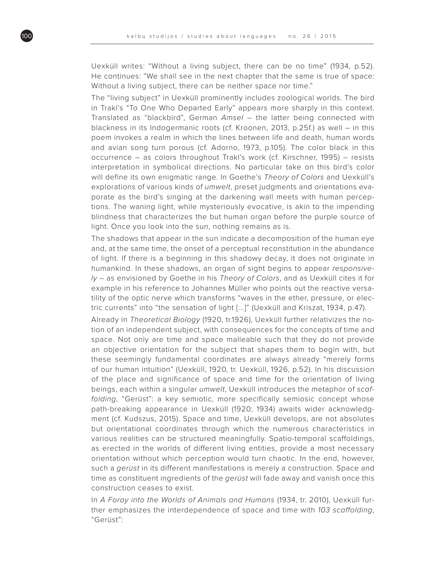Uexküll writes: "Without a living subject, there can be no time" (1934, p.52). He continues: "We shall see in the next chapter that the same is true of space: Without a living subject, there can be neither space nor time."

The "living subject" in Uexküll prominently includes zoological worlds. The bird in Trakl's "To One Who Departed Early" appears more sharply in this context. Translated as "blackbird", German Amsel – the latter being connected with blackness in its Indogermanic roots (cf. Kroonen, 2013, p.25f.) as well – in this poem invokes a realm in which the lines between life and death, human words and avian song turn porous (cf. Adorno, 1973, p.105). The color black in this occurrence – as colors throughout Trakl's work (cf. Kirschner, 1995) – resists interpretation in symbolical directions. No particular take on this bird's color will define its own enigmatic range. In Goethe's Theory of Colors and Uexküll's explorations of various kinds of umwelt, preset judgments and orientations evaporate as the bird's singing at the darkening wall meets with human perceptions. The waning light, while mysteriously evocative, is akin to the impending blindness that characterizes the but human organ before the purple source of light. Once you look into the sun, nothing remains as is.

The shadows that appear in the sun indicate a decomposition of the human eye and, at the same time, the onset of a perceptual reconstitution in the abundance of light. If there is a beginning in this shadowy decay, it does not originate in humankind. In these shadows, an organ of sight begins to appear responsive- $Iy -$  as envisioned by Goethe in his Theory of Colors, and as Uexküll cites it for example in his reference to Johannes Müller who points out the reactive versatility of the optic nerve which transforms "waves in the ether, pressure, or electric currents" into "the sensation of light [...]" (Uexküll and Kriszat, 1934, p.47).

Already in Theoretical Biology (1920, tr.1926), Uexküll further relativizes the notion of an independent subject, with consequences for the concepts of time and space. Not only are time and space malleable such that they do not provide an objective orientation for the subject that shapes them to begin with, but these seemingly fundamental coordinates are always already "merely forms of our human intuition" (Uexküll, 1920, tr. Uexküll, 1926, p.52). In his discussion of the place and significance of space and time for the orientation of living beings, each within a singular umwelt, Uexküll introduces the metaphor of scaffolding, "Gerüst": a key semiotic, more specifically semiosic concept whose path-breaking appearance in Uexküll (1920; 1934) awaits wider acknowledgment (cf. Kudszus, 2015). Space and time, Uexküll develops, are not absolutes but orientational coordinates through which the numerous characteristics in various realities can be structured meaningfully. Spatio-temporal scaffoldings, as erected in the worlds of different living entities, provide a most necessary orientation without which perception would turn chaotic. In the end, however, such a *gerüst* in its different manifestations is merely a construction. Space and time as constituent ingredients of the *gerüst* will fade away and vanish once this construction ceases to exist.

In A Foray into the Worlds of Animals and Humans (1934, tr. 2010), Uexküll further emphasizes the interdependence of space and time with 103 scaffolding, "Gerüst":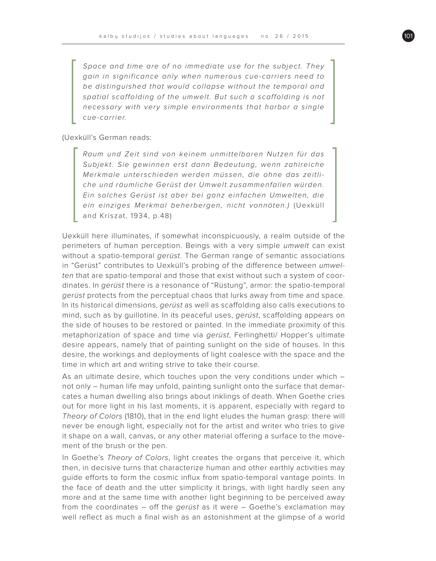Space and time are of no immediate use for the subject. They gain in significance only when numerous cue-carriers need to be distinguished that would collapse without the temporal and spatial scaffolding of the umwelt. But such a scaffolding is not necessary with very simple environments that harbor a single cue-carrier.

(Uexküll's German reads:

Raum und Zeit sind von keinem unmittelbaren Nutzen für das Subjekt. Sie gewinnen erst dann Bedeutung, wenn zahlreiche Merkmale unterschieden werden müssen, die ohne das zeitliche und räumliche Gerüst der Umwelt zusammenfallen würden. Ein solches Gerüst ist aber bei ganz einfachen Umwelten, die ein einziges Merkmal beherbergen, nicht vonnöten.) (Uexküll and Kriszat, 1934, p.48)

Uexküll here illuminates, if somewhat inconspicuously, a realm outside of the perimeters of human perception. Beings with a very simple umwelt can exist without a spatio-temporal *gerüst*. The German range of semantic associations in "Gerüst" contributes to Uexküll's probing of the difference between umwelten that are spatio-temporal and those that exist without such a system of coordinates. In gerüst there is a resonance of "Rüstung", armor: the spatio-temporal gerüst protects from the perceptual chaos that lurks away from time and space. In its historical dimensions, gerüst as well as scaffolding also calls executions to mind, such as by guillotine. In its peaceful uses, gerüst, scaffolding appears on the side of houses to be restored or painted. In the immediate proximity of this metaphorization of space and time via gerüst, Ferlinghetti/ Hopper's ultimate desire appears, namely that of painting sunlight on the side of houses. In this desire, the workings and deployments of light coalesce with the space and the time in which art and writing strive to take their course.

As an ultimate desire, which touches upon the very conditions under which – not only – human life may unfold, painting sunlight onto the surface that demarcates a human dwelling also brings about inklings of death. When Goethe cries out for more light in his last moments, it is apparent, especially with regard to Theory of Colors (1810), that in the end light eludes the human grasp: there will never be enough light, especially not for the artist and writer who tries to give it shape on a wall, canvas, or any other material offering a surface to the movement of the brush or the pen.

In Goethe's Theory of Colors, light creates the organs that perceive it, which then, in decisive turns that characterize human and other earthly activities may guide efforts to form the cosmic influx from spatio-temporal vantage points. In the face of death and the utter simplicity it brings, with light hardly seen any more and at the same time with another light beginning to be perceived away from the coordinates – off the gerüst as it were – Goethe's exclamation may well reflect as much a final wish as an astonishment at the glimpse of a world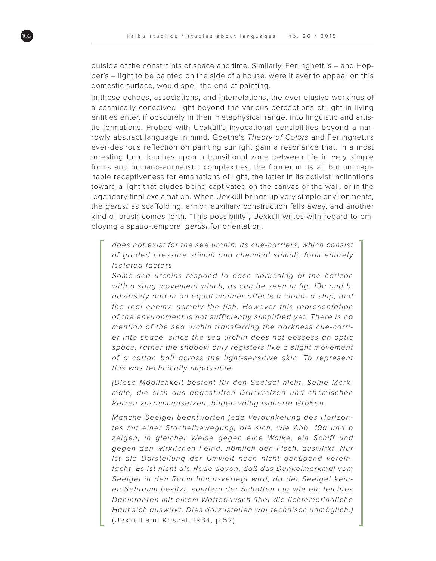outside of the constraints of space and time. Similarly, Ferlinghetti's – and Hopper's – light to be painted on the side of a house, were it ever to appear on this domestic surface, would spell the end of painting.

In these echoes, associations, and interrelations, the ever-elusive workings of a cosmically conceived light beyond the various perceptions of light in living entities enter, if obscurely in their metaphysical range, into linguistic and artistic formations. Probed with Uexküll's invocational sensibilities beyond a narrowly abstract language in mind, Goethe's Theory of Colors and Ferlinghetti's ever-desirous reflection on painting sunlight gain a resonance that, in a most arresting turn, touches upon a transitional zone between life in very simple forms and humano-animalistic complexities, the former in its all but unimaginable receptiveness for emanations of light, the latter in its activist inclinations toward a light that eludes being captivated on the canvas or the wall, or in the legendary final exclamation. When Uexküll brings up very simple environments, the gerüst as scaffolding, armor, auxiliary construction falls away, and another kind of brush comes forth. "This possibility", Uexküll writes with regard to employing a spatio-temporal gerüst for orientation,

does not exist for the see urchin. Its cue-carriers, which consist of graded pressure stimuli and chemical stimuli, form entirely isolated factors.

Some sea urchins respond to each darkening of the horizon with a sting movement which, as can be seen in fig. 19a and b, adversely and in an equal manner affects a cloud, a ship, and the real enemy, namely the fish. However this representation of the environment is not sufficiently simplified yet. There is no mention of the sea urchin transferring the darkness cue-carrier into space, since the sea urchin does not possess an optic space, rather the shadow only registers like a slight movement of a cotton ball across the light-sensitive skin. To represent this was technically impossible.

(Diese Möglichkeit besteht für den Seeigel nicht. Seine Merkmale, die sich aus abgestuften Druckreizen und chemischen Reizen zusammensetzen, bilden völlig isolierte Größen.

Manche Seeigel beantworten jede Verdunkelung des Horizontes mit einer Stachelbewegung, die sich, wie Abb. 19a und b zeigen, in gleicher Weise gegen eine Wolke, ein Schiff und gegen den wirklichen Feind, nämlich den Fisch, auswirkt. Nur ist die Darstellung der Umwelt noch nicht genügend vereinfacht. Es ist nicht die Rede davon, daß das Dunkelmerkmal vom Seeigel in den Raum hinausverlegt wird, da der Seeigel keinen Sehraum besitzt, sondern der Schatten nur wie ein leichtes Dahinfahren mit einem Wattebausch über die lichtempfindliche Haut sich auswirkt. Dies darzustellen war technisch unmöglich.) (Uexküll and Kriszat, 1934, p.52)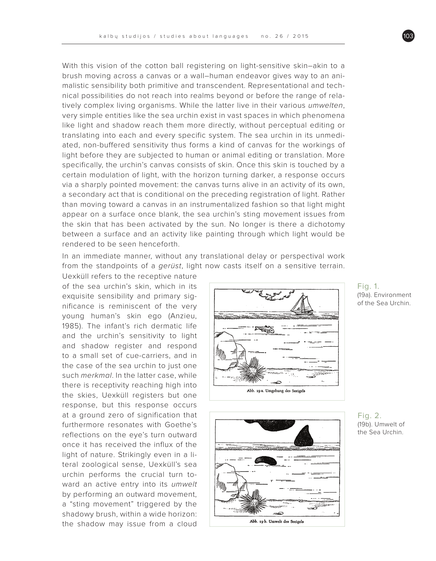With this vision of the cotton ball registering on light-sensitive skin–akin to a brush moving across a canvas or a wall–human endeavor gives way to an animalistic sensibility both primitive and transcendent. Representational and technical possibilities do not reach into realms beyond or before the range of relatively complex living organisms. While the latter live in their various umwelten, very simple entities like the sea urchin exist in vast spaces in which phenomena like light and shadow reach them more directly, without perceptual editing or translating into each and every specific system. The sea urchin in its unmediated, non-buffered sensitivity thus forms a kind of canvas for the workings of light before they are subjected to human or animal editing or translation. More specifically, the urchin's canvas consists of skin. Once this skin is touched by a certain modulation of light, with the horizon turning darker, a response occurs via a sharply pointed movement: the canvas turns alive in an activity of its own, a secondary act that is conditional on the preceding registration of light. Rather than moving toward a canvas in an instrumentalized fashion so that light might appear on a surface once blank, the sea urchin's sting movement issues from the skin that has been activated by the sun. No longer is there a dichotomy between a surface and an activity like painting through which light would be rendered to be seen henceforth.

In an immediate manner, without any translational delay or perspectival work from the standpoints of a *gerüst*, light now casts itself on a sensitive terrain.

Uexküll refers to the receptive nature of the sea urchin's skin, which in its exquisite sensibility and primary significance is reminiscent of the very young human's skin ego (Anzieu, 1985). The infant's rich dermatic life and the urchin's sensitivity to light and shadow register and respond to a small set of cue-carriers, and in the case of the sea urchin to just one such merkmal. In the latter case, while there is receptivity reaching high into the skies, Uexküll registers but one response, but this response occurs at a ground zero of signification that furthermore resonates with Goethe's reflections on the eye's turn outward once it has received the influx of the light of nature. Strikingly even in a literal zoological sense, Uexküll's sea urchin performs the crucial turn toward an active entry into its umwelt by performing an outward movement, a "sting movement" triggered by the shadowy brush, within a wide horizon: the shadow may issue from a cloud





Fig. 1. (19a). Environment of the Sea Urchin.

Fig. 2. (19b). Umwelt of the Sea Urchin.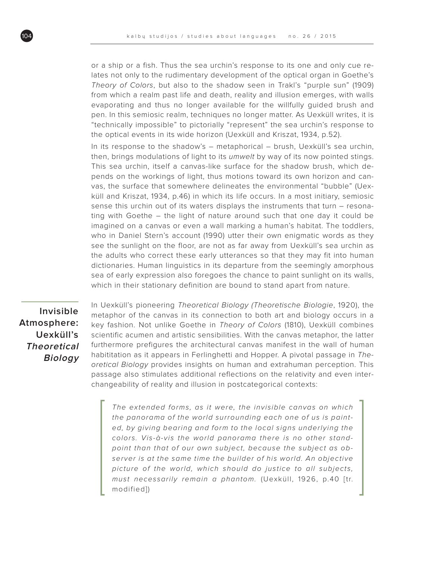or a ship or a fish. Thus the sea urchin's response to its one and only cue relates not only to the rudimentary development of the optical organ in Goethe's Theory of Colors, but also to the shadow seen in Trakl's "purple sun" (1909) from which a realm past life and death, reality and illusion emerges, with walls evaporating and thus no longer available for the willfully guided brush and pen. In this semiosic realm, techniques no longer matter. As Uexküll writes, it is "technically impossible" to pictorially "represent" the sea urchin's response to the optical events in its wide horizon (Uexküll and Kriszat, 1934, p.52).

In its response to the shadow's – metaphorical – brush, Uexküll's sea urchin, then, brings modulations of light to its *umwelt* by way of its now pointed stings. This sea urchin, itself a canvas-like surface for the shadow brush, which depends on the workings of light, thus motions toward its own horizon and canvas, the surface that somewhere delineates the environmental "bubble" (Uexküll and Kriszat, 1934, p.46) in which its life occurs. In a most initiary, semiosic sense this urchin out of its waters displays the instruments that turn – resonating with Goethe – the light of nature around such that one day it could be imagined on a canvas or even a wall marking a human's habitat. The toddlers, who in Daniel Stern's account (1990) utter their own enigmatic words as they see the sunlight on the floor, are not as far away from Uexküll's sea urchin as the adults who correct these early utterances so that they may fit into human dictionaries. Human linguistics in its departure from the seemingly amorphous sea of early expression also foregoes the chance to paint sunlight on its walls, which in their stationary definition are bound to stand apart from nature.

**Invisible Atmosphere: Uexküll's Theoretical Biology** In Uexküll's pioneering Theoretical Biology (Theoretische Biologie, 1920), the metaphor of the canvas in its connection to both art and biology occurs in a key fashion. Not unlike Goethe in Theory of Colors (1810), Uexküll combines scientific acumen and artistic sensibilities. With the canvas metaphor, the latter furthermore prefigures the architectural canvas manifest in the wall of human habititation as it appears in Ferlinghetti and Hopper. A pivotal passage in Theoretical Biology provides insights on human and extrahuman perception. This passage also stimulates additional reflections on the relativity and even interchangeability of reality and illusion in postcategorical contexts:

The extended forms, as it were, the invisible canvas on which the panorama of the world surrounding each one of us is painted, by giving bearing and form to the local signs underlying the colors. Vis-à-vis the world panorama there is no other standpoint than that of our own subject, because the subject as observer is at the same time the builder of his world. An objective picture of the world, which should do justice to all subjects, must necessarily remain a phantom. (Uexküll, 1926, p.40 [tr. modified])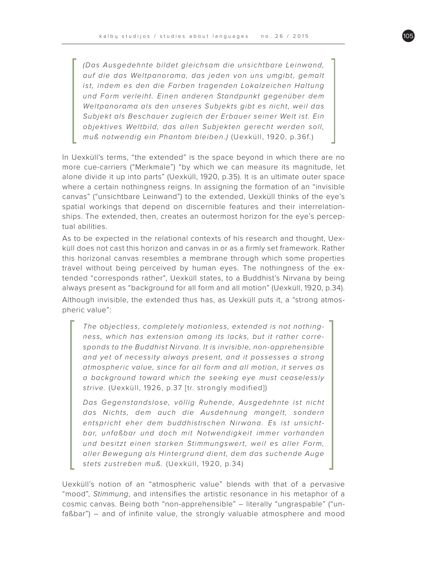(Das Ausgedehnte bildet gleichsam die unsichtbare Leinwand, auf die das Weltpanorama, das jeden von uns umgibt, gemalt ist, indem es den die Farben tragenden Lokalzeichen Haltung und Form verleiht. Einen anderen Standpunkt gegenüber dem Weltpanorama als den unseres Subjekts gibt es nicht, weil das Subjekt als Beschauer zugleich der Erbauer seiner Welt ist. Ein objektives Weltbild, das allen Subjekten gerecht werden soll, muß notwendig ein Phantom bleiben.) (Uexküll, 1920, p.36f.)

In Uexküll's terms, "the extended" is the space beyond in which there are no more cue-carriers ("Merkmale") "by which we can measure its magnitude, let alone divide it up into parts" (Uexküll, 1920, p.35). It is an ultimate outer space where a certain nothingness reigns. In assigning the formation of an "invisible canvas" ("unsichtbare Leinwand") to the extended, Uexküll thinks of the eye's spatial workings that depend on discernible features and their interrelationships. The extended, then, creates an outermost horizon for the eye's perceptual abilities.

As to be expected in the relational contexts of his research and thought, Uexküll does not cast this horizon and canvas in or as a firmly set framework. Rather this horizonal canvas resembles a membrane through which some properties travel without being perceived by human eyes. The nothingness of the extended "corresponds rather", Uexküll states, to a Buddhist's Nirvana by being always present as "background for all form and all motion" (Uexküll, 1920, p.34). Although invisible, the extended thus has, as Uexküll puts it, a "strong atmospheric value":

The objectless, completely motionless, extended is not nothingness, which has extension among its lacks, but it rather corresponds to the Buddhist Nirvana. It is invisible, non-apprehensible and yet of necessity always present, and it possesses a strong atmospheric value, since for all form and all motion, it serves as a background toward which the seeking eye must ceaselessly strive. (Uexküll, 1926, p.37 [tr. strongly modified])

Das Gegenstandslose, völlig Ruhende, Ausgedehnte ist nicht das Nichts, dem auch die Ausdehnung mangelt, sondern entspricht eher dem buddhistischen Nirwana. Es ist unsichtbar, unfaßbar und doch mit Notwendigkeit immer vorhanden und besitzt einen starken Stimmungswert, weil es aller Form, aller Bewegung als Hintergrund dient, dem das suchende Auge stets zustreben muß. (Uexküll, 1920, p.34)

Uexküll's notion of an "atmospheric value" blends with that of a pervasive "mood", Stimmung, and intensifies the artistic resonance in his metaphor of a cosmic canvas. Being both "non-apprehensible" – literally "ungraspable" ("unfaßbar") – and of infinite value, the strongly valuable atmosphere and mood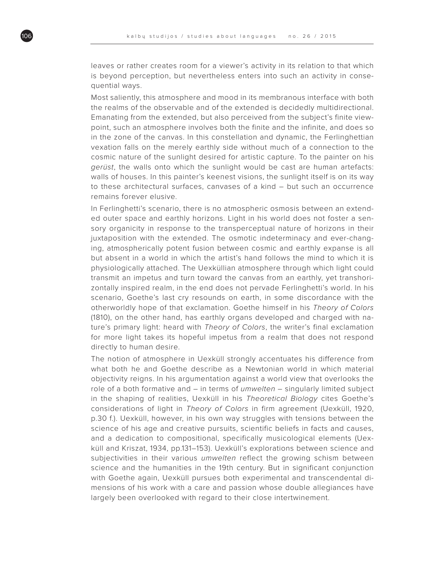leaves or rather creates room for a viewer's activity in its relation to that which is beyond perception, but nevertheless enters into such an activity in consequential ways.

Most saliently, this atmosphere and mood in its membranous interface with both the realms of the observable and of the extended is decidedly multidirectional. Emanating from the extended, but also perceived from the subject's finite viewpoint, such an atmosphere involves both the finite and the infinite, and does so in the zone of the canvas. In this constellation and dynamic, the Ferlinghettian vexation falls on the merely earthly side without much of a connection to the cosmic nature of the sunlight desired for artistic capture. To the painter on his gerüst, the walls onto which the sunlight would be cast are human artefacts: walls of houses. In this painter's keenest visions, the sunlight itself is on its way to these architectural surfaces, canvases of a kind – but such an occurrence remains forever elusive.

In Ferlinghetti's scenario, there is no atmospheric osmosis between an extended outer space and earthly horizons. Light in his world does not foster a sensory organicity in response to the transperceptual nature of horizons in their juxtaposition with the extended. The osmotic indeterminacy and ever-changing, atmospherically potent fusion between cosmic and earthly expanse is all but absent in a world in which the artist's hand follows the mind to which it is physiologically attached. The Uexküllian atmosphere through which light could transmit an impetus and turn toward the canvas from an earthly, yet transhorizontally inspired realm, in the end does not pervade Ferlinghetti's world. In his scenario, Goethe's last cry resounds on earth, in some discordance with the otherworldly hope of that exclamation. Goethe himself in his Theory of Colors (1810), on the other hand, has earthly organs developed and charged with nature's primary light: heard with Theory of Colors, the writer's final exclamation for more light takes its hopeful impetus from a realm that does not respond directly to human desire.

The notion of atmosphere in Uexküll strongly accentuates his difference from what both he and Goethe describe as a Newtonian world in which material objectivity reigns. In his argumentation against a world view that overlooks the role of a both formative and  $-$  in terms of *umwelten*  $-$  singularly limited subject in the shaping of realities, Uexküll in his Theoretical Biology cites Goethe's considerations of light in Theory of Colors in firm agreement (Uexküll, 1920, p.30 f.). Uexküll, however, in his own way struggles with tensions between the science of his age and creative pursuits, scientific beliefs in facts and causes, and a dedication to compositional, specifically musicological elements (Uexküll and Kriszat, 1934, pp.131–153). Uexküll's explorations between science and subjectivities in their various *umwelten* reflect the growing schism between science and the humanities in the 19th century. But in significant conjunction with Goethe again, Uexküll pursues both experimental and transcendental dimensions of his work with a care and passion whose double allegiances have largely been overlooked with regard to their close intertwinement.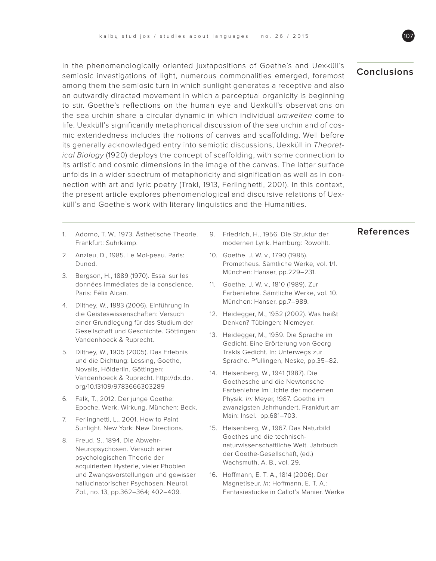In the phenomenologically oriented juxtapositions of Goethe's and Uexküll's semiosic investigations of light, numerous commonalities emerged, foremost among them the semiosic turn in which sunlight generates a receptive and also an outwardly directed movement in which a perceptual organicity is beginning to stir. Goethe's reflections on the human eye and Uexküll's observations on the sea urchin share a circular dynamic in which individual umwelten come to life. Uexküll's significantly metaphorical discussion of the sea urchin and of cosmic extendedness includes the notions of canvas and scaffolding. Well before its generally acknowledged entry into semiotic discussions, Uexküll in Theoretical Biology (1920) deploys the concept of scaffolding, with some connection to its artistic and cosmic dimensions in the image of the canvas. The latter surface unfolds in a wider spectrum of metaphoricity and signification as well as in connection with art and lyric poetry (Trakl, 1913, Ferlinghetti, 2001). In this context, the present article explores phenomenological and discursive relations of Uexküll's and Goethe's work with literary linguistics and the Humanities.

- 1. Adorno, T. W., 1973. Ästhetische Theorie. **References** Frankfurt: Suhrkamp.
- 2. Anzieu, D., 1985. Le Moi-peau. Paris: Dunod.
- 3. Bergson, H., 1889 (1970). Essai sur les données immédiates de la conscience. Paris: Félix Alcan.
- 4. Dilthey, W., 1883 (2006). Einführung in die Geisteswissenschaften: Versuch einer Grundlegung für das Studium der Gesellschaft und Geschichte. Göttingen: Vandenhoeck & Ruprecht.
- 5. Dilthey, W., 1905 (2005). Das Erlebnis und die Dichtung: Lessing, Goethe, Novalis, Hölderlin. Göttingen: Vandenhoeck & Ruprecht. http://dx.doi. org/10.13109/9783666303289
- 6. Falk, T., 2012. Der junge Goethe: Epoche, Werk, Wirkung. München: Beck.
- 7. Ferlinghetti, L., 2001. How to Paint Sunlight. New York: New Directions.
- 8. Freud, S., 1894. Die Abwehr-Neuropsychosen. Versuch einer psychologischen Theorie der acquirierten Hysterie, vieler Phobien und Zwangsvorstellungen und gewisser hallucinatorischer Psychosen. Neurol. Zbl., no. 13, pp.362–364; 402–409.
- 9. Friedrich, H., 1956. Die Struktur der modernen Lyrik. Hamburg: Rowohlt.
- 10. Goethe, J. W. v., 1790 (1985). Prometheus. Sämtliche Werke, vol. 1/1. München: Hanser, pp.229–231.
- 11. Goethe, J. W. v., 1810 (1989). Zur Farbenlehre. Sämtliche Werke, vol. 10. München: Hanser, pp.7–989.
- 12. Heidegger, M., 1952 (2002). Was heißt Denken? Tübingen: Niemeyer.
- 13. Heidegger, M., 1959. Die Sprache im Gedicht. Eine Erörterung von Georg Trakls Gedicht. In: Unterwegs zur Sprache. Pfullingen, Neske, pp.35–82.
- 14. Heisenberg, W., 1941 (1987). Die Goethesche und die Newtonsche Farbenlehre im Lichte der modernen Physik. In: Meyer, 1987. Goethe im zwanzigsten Jahrhundert. Frankfurt am Main: Insel. pp.681–703.
- 15. Heisenberg, W., 1967. Das Naturbild Goethes und die technischnaturwissenschaftliche Welt. Jahrbuch der Goethe-Gesellschaft, (ed.) Wachsmuth, A. B., vol. 29.
- 16. Hoffmann, E. T. A., 1814 (2006). Der Magnetiseur. In: Hoffmann, E. T. A.: Fantasiestücke in Callot's Manier. Werke

### **Conclusions**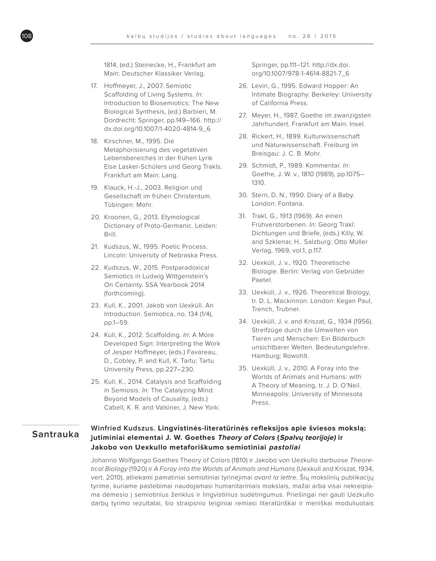1814, (ed.) Steinecke, H., Frankfurt am Main: Deutscher Klassiker Verlag.

- 17. Hoffmeyer, J., 2007. Semiotic Scaffolding of Living Systems. In: Introduction to Biosemiotics: The New Biological Synthesis, (ed.) Barbieri, M. Dordrecht: Springer, pp.149–166. http:// dx.doi.org/10.1007/1-4020-4814-9\_6
- 18. Kirschner, M., 1995. Die Metaphorisierung des vegetativen Lebensbereiches in der frühen Lyrik Else Lasker-Schülers und Georg Trakls. Frankfurt am Main: Lang.
- 19. Klauck, H.-J., 2003. Religion und Gesellschaft im frühen Christentum. Tübingen: Mohr.
- 20. Kroonen, G., 2013. Etymological Dictionary of Proto-Germanic. Leiden: Brill.
- 21. Kudszus, W., 1995. Poetic Process. Lincoln: University of Nebraska Press.
- 22. Kudszus, W., 2015. Postparadoxical Semiotics in Ludwig Wittgenstein's On Certainty. SSA Yearbook 2014 (forthcoming).
- 23. Kull, K., 2001. Jakob von Uexküll. An Introduction. Semiotica, no. 134 (1/4), pp.1–59.
- 24. Kull, K., 2012. Scaffolding. In: A More Developed Sign: Interpreting the Work of Jesper Hoffmeyer, (eds.) Favareau, D., Cobley, P. and Kull, K. Tartu: Tartu University Press, pp.227–230.
- 25. Kull, K., 2014. Catalysis and Scaffolding in Semiosis. In: The Catalyzing Mind: Beyond Models of Causality, (eds.) Cabell, K. R. and Valsiner, J. New York:

Springer, pp.111–121. http://dx.doi. org/10.1007/978-1-4614-8821-7\_6

- 26. Levin, G., 1995. Edward Hopper: An Intimate Biography. Berkeley: University of California Press.
- 27. Meyer, H., 1987. Goethe im zwanzigsten Jahrhundert. Frankfurt am Main: Insel.
- 28. Rickert, H., 1899. Kulturwissenschaft und Naturwissenschaft. Freiburg im Breisgau: J. C. B. Mohr.
- 29. Schmidt, P., 1989. Kommentar. In: Goethe, J. W. v., 1810 (1989), pp.1075– 1310.
- 30. Stern, D. N., 1990. Diary of a Baby. London: Fontana.
- 31. Trakl, G., 1913 (1969). An einen Frühverstorbenen. In: Georg Trakl: Dichtungen und Briefe, (eds.) Killy, W. and Szklenar, H.. Salzburg: Otto Müller Verlag, 1969, vol.1, p.117.
- 32. Uexküll, J. v., 1920. Theoretische Biologie. Berlin: Verlag von Gebrüder Paetel.
- 33. Uexküll, J. v., 1926. Theoretical Biology, tr. D. L. Mackinnon. London: Kegan Paul, Trench, Trubner.
- 34. Uexküll, J. v. and Kriszat, G., 1934 (1956). Streifzüge durch die Umwelten von Tieren und Menschen: Ein Bilderbuch unsichtbarer Welten. Bedeutungslehre. Hamburg: Rowohlt.
- 35. Uexküll, J. v., 2010. A Foray into the Worlds of Animals and Humans: with A Theory of Meaning, tr. J. D. O'Neil. Minneapolis: University of Minnesota Press.

### **Santrauka**

### **Winfried Kudszus. Lingvistinės-literatūrinės refleksijos apie šviesos mokslą: jutiminiai elementai J. W. Goethes Theory of Colors (Spalvų teorijoje) ir Jakobo von Uexkullo metaforiškumo semiotiniai pastoliai**

Johanno Wolfgango Goethes Theory of Colors (1810) ir Jakobo von Uezkullo darbuose Theoretical Biology (1920) ir A Foray into the Worlds of Animals and Humans (Uexkull and Kriszat, 1934, vert. 2010), atliekami pamatiniai semiotiniai tyrinėjimai avant la lettre. Šių mokslinių publikacijų tyrime, kuriame pastebimai naudojamasi humanitariniais mokslais, mažai arba visai nekreipiama dėmesio į semiotinius ženklus ir lingvistinius sudėtingumus. Priešingai nei gauti Uezkullo darbų tyrimo rezultatai, šio straipsnio teiginiai remiasi literatūriškai ir meniškai moduliuotais